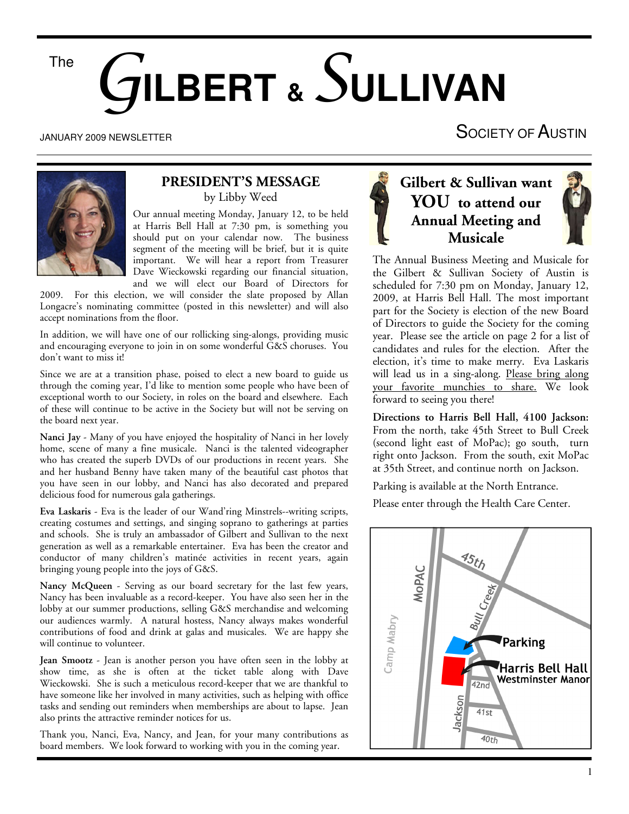# The G**ILBERT &** S**ULLIVAN**

#### JANUARY 2009 NEWSLETTER

# SOCIETY OF AUSTIN



#### **PRESIDENT'S MESSAGE**  by Libby Weed

Our annual meeting Monday, January 12, to be held at Harris Bell Hall at 7:30 pm, is something you should put on your calendar now. The business segment of the meeting will be brief, but it is quite important. We will hear a report from Treasurer Dave Wieckowski regarding our financial situation, and we will elect our Board of Directors for

2009. For this election, we will consider the slate proposed by Allan Longacre's nominating committee (posted in this newsletter) and will also accept nominations from the floor.

In addition, we will have one of our rollicking sing-alongs, providing music and encouraging everyone to join in on some wonderful G&S choruses. You don't want to miss it!

Since we are at a transition phase, poised to elect a new board to guide us through the coming year, I'd like to mention some people who have been of exceptional worth to our Society, in roles on the board and elsewhere. Each of these will continue to be active in the Society but will not be serving on the board next year.

**Nanci Jay** - Many of you have enjoyed the hospitality of Nanci in her lovely home, scene of many a fine musicale. Nanci is the talented videographer who has created the superb DVDs of our productions in recent years. She and her husband Benny have taken many of the beautiful cast photos that you have seen in our lobby, and Nanci has also decorated and prepared delicious food for numerous gala gatherings.

**Eva Laskaris** - Eva is the leader of our Wand'ring Minstrels--writing scripts, creating costumes and settings, and singing soprano to gatherings at parties and schools. She is truly an ambassador of Gilbert and Sullivan to the next generation as well as a remarkable entertainer. Eva has been the creator and conductor of many children's matinée activities in recent years, again bringing young people into the joys of G&S.

**Nancy McQueen** - Serving as our board secretary for the last few years, Nancy has been invaluable as a record-keeper. You have also seen her in the lobby at our summer productions, selling G&S merchandise and welcoming our audiences warmly. A natural hostess, Nancy always makes wonderful contributions of food and drink at galas and musicales. We are happy she will continue to volunteer.

**Jean Smootz** - Jean is another person you have often seen in the lobby at show time, as she is often at the ticket table along with Dave Wieckowski. She is such a meticulous record-keeper that we are thankful to have someone like her involved in many activities, such as helping with office tasks and sending out reminders when memberships are about to lapse. Jean also prints the attractive reminder notices for us.

Thank you, Nanci, Eva, Nancy, and Jean, for your many contributions as board members. We look forward to working with you in the coming year.





The Annual Business Meeting and Musicale for the Gilbert & Sullivan Society of Austin is scheduled for 7:30 pm on Monday, January 12, 2009, at Harris Bell Hall. The most important part for the Society is election of the new Board of Directors to guide the Society for the coming year. Please see the article on page 2 for a list of candidates and rules for the election. After the election, it's time to make merry. Eva Laskaris will lead us in a sing-along. Please bring along your favorite munchies to share. We look forward to seeing you there!

**Directions to Harris Bell Hall, 4100 Jackson:** From the north, take 45th Street to Bull Creek (second light east of MoPac); go south, turn right onto Jackson. From the south, exit MoPac at 35th Street, and continue north on Jackson.

Parking is available at the North Entrance.

Please enter through the Health Care Center.

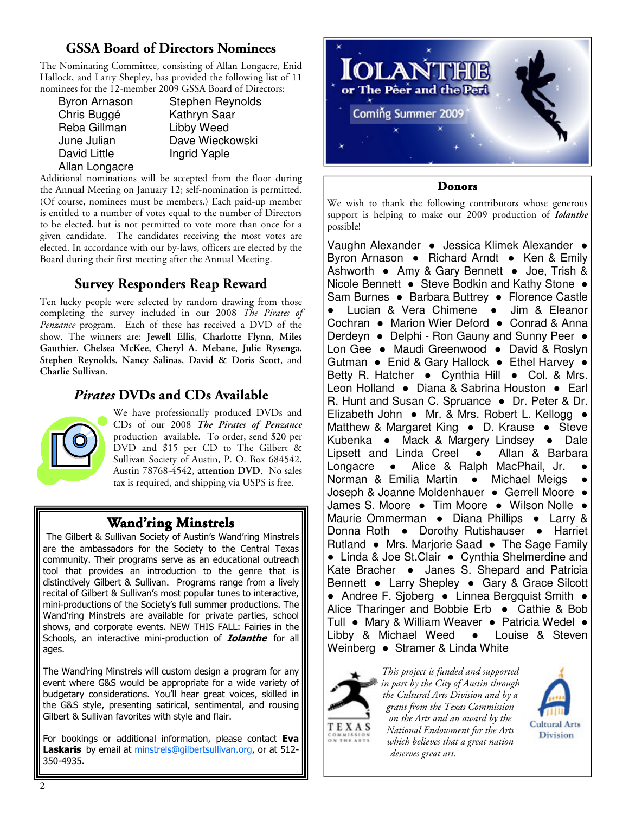# **GSSA Board of Directors Nominees**

The Nominating Committee, consisting of Allan Longacre, Enid Hallock, and Larry Shepley, has provided the following list of 11 nominees for the 12-member 2009 GSSA Board of Directors:

| <b>Byron Arnason</b> |
|----------------------|
| Chris Buggé          |
| Reba Gillman         |
| June Julian          |
| <b>David Little</b>  |
| Allan Longacre       |

Stephen Reynolds Kathryn Saar Libby Weed Dave Wieckowski Ingrid Yaple

Additional nominations will be accepted from the floor during the Annual Meeting on January 12; self-nomination is permitted. (Of course, nominees must be members.) Each paid-up member is entitled to a number of votes equal to the number of Directors to be elected, but is not permitted to vote more than once for a given candidate. The candidates receiving the most votes are elected. In accordance with our by-laws, officers are elected by the Board during their first meeting after the Annual Meeting.

# **Survey Responders Reap Reward**

Ten lucky people were selected by random drawing from those completing the survey included in our 2008 *The Pirates of Penzance* program. Each of these has received a DVD of the show. The winners are: **Jewell Ellis**, **Charlotte Flynn**, **Miles Gauthier**, **Chelsea McKee**, **Cheryl A. Mebane**, **Julie Rysenga**, **Stephen Reynolds**, **Nancy Salinas**, **David & Doris Scott**, and **Charlie Sullivan**.

# *Pirates* **DVDs and CDs Available**



We have professionally produced DVDs and CDs of our 2008 *The Pirates of Penzance*  production available. To order, send \$20 per DVD and \$15 per CD to The Gilbert & Sullivan Society of Austin, P. O. Box 684542, Austin 78768-4542, **attention DVD**. No sales tax is required, and shipping via USPS is free.

# **Wand'ring Minstrels**

The Gilbert & Sullivan Society of Austin's Wand'ring Minstrels are the ambassadors for the Society to the Central Texas community. Their programs serve as an educational outreach tool that provides an introduction to the genre that is distinctively Gilbert & Sullivan. Programs range from a lively recital of Gilbert & Sullivan's most popular tunes to interactive, mini-productions of the Society's full summer productions. The Wand'ring Minstrels are available for private parties, school shows, and corporate events. NEW THIS FALL: Fairies in the Schools, an interactive mini-production of **Iolanthe** for all ages.

The Wand'ring Minstrels will custom design a program for any event where G&S would be appropriate for a wide variety of budgetary considerations. You'll hear great voices, skilled in the G&S style, presenting satirical, sentimental, and rousing Gilbert & Sullivan favorites with style and flair.

For bookings or additional information, please contact Eva Laskaris by email at minstrels@gilbertsullivan.org, or at 512-350-4935.



#### **Donors**

We wish to thank the following contributors whose generous support is helping to make our 2009 production of *Iolanthe*  possible!

Vaughn Alexander ● Jessica Klimek Alexander ● Byron Arnason ● Richard Arndt ● Ken & Emily Ashworth ● Amy & Gary Bennett ● Joe, Trish & Nicole Bennett ● Steve Bodkin and Kathy Stone ● Sam Burnes ● Barbara Buttrey ● Florence Castle ● Lucian & Vera Chimene ● Jim & Eleanor Cochran ● Marion Wier Deford ● Conrad & Anna Derdeyn ● Delphi - Ron Gauny and Sunny Peer ● Lon Gee ● Maudi Greenwood ● David & Roslyn Gutman ● Enid & Gary Hallock ● Ethel Harvey ● Betty R. Hatcher • Cynthia Hill • Col. & Mrs. Leon Holland ● Diana & Sabrina Houston ● Earl R. Hunt and Susan C. Spruance ● Dr. Peter & Dr. Elizabeth John ● Mr. & Mrs. Robert L. Kellogg ● Matthew & Margaret King • D. Krause • Steve Kubenka • Mack & Margery Lindsey • Dale Lipsett and Linda Creel • Allan & Barbara Longacre • Alice & Ralph MacPhail, Jr. Norman & Emilia Martin • Michael Meigs Joseph & Joanne Moldenhauer · Gerrell Moore · James S. Moore ● Tim Moore ● Wilson Nolle ● Maurie Ommerman ● Diana Phillips ● Larry & Donna Roth ● Dorothy Rutishauser ● Harriet Rutland ● Mrs. Marjorie Saad ● The Sage Family ● Linda & Joe St.Clair ● Cynthia Shelmerdine and Kate Bracher • Janes S. Shepard and Patricia Bennett ● Larry Shepley ● Gary & Grace Silcott ● Andree F. Sjoberg ● Linnea Bergquist Smith ● Alice Tharinger and Bobbie Erb ● Cathie & Bob Tull ● Mary & William Weaver ● Patricia Wedel ● Libby & Michael Weed • Louise & Steven Weinberg • Stramer & Linda White



*This project is funded and supported in part by the City of Austin through the Cultural Arts Division and by a grant from the Texas Commission on the Arts and an award by the National Endowment for the Arts which believes that a great nation deserves great art.*

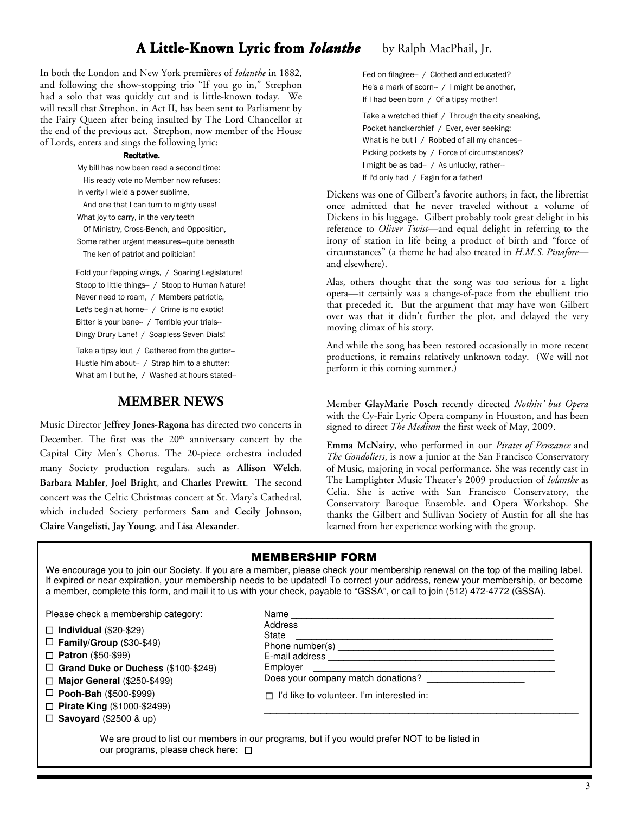# **A Little-Known Lyric from** *Iolanthe* by Ralph MacPhail, Jr.

In both the London and New York premières of *Iolanthe* in 1882*,*  and following the show-stopping trio "If you go in," Strephon had a solo that was quickly cut and is little-known today. We will recall that Strephon, in Act II, has been sent to Parliament by the Fairy Queen after being insulted by The Lord Chancellor at the end of the previous act. Strephon, now member of the House of Lords, enters and sings the following lyric:

#### Recitative. Recitative.

My bill has now been read a second time: His ready vote no Member now refuses; In verity I wield a power sublime, And one that I can turn to mighty uses! What joy to carry, in the very teeth

 Of Ministry, Cross-Bench, and Opposition, Some rather urgent measures—quite beneath The ken of patriot and politician!

Fold your flapping wings, / Soaring Legislature! Stoop to little things-- / Stoop to Human Nature! Never need to roam, / Members patriotic, Let's begin at home- / Crime is no exotic! Bitter is your bane-- / Terrible your trials-- Dingy Drury Lane! / Soapless Seven Dials!

Take a tipsy lout / Gathered from the gutter--Hustle him about-- / Strap him to a shutter: What am I but he, / Washed at hours stated--

#### **MEMBER NEWS**

Music Director **Jeffrey Jones-Ragona** has directed two concerts in December. The first was the  $20<sup>th</sup>$  anniversary concert by the Capital City Men's Chorus. The 20-piece orchestra included many Society production regulars, such as **Allison Welch**, **Barbara Mahler**, **Joel Bright**, and **Charles Prewitt**. The second concert was the Celtic Christmas concert at St. Mary's Cathedral, which included Society performers **Sam** and **Cecily Johnson**, **Claire Vangelisti**, **Jay Young**, and **Lisa Alexander**.

Fed on filagree-- / Clothed and educated? He's a mark of scorn-- / I might be another, If I had been born / Of a tipsy mother!

Take a wretched thief / Through the city sneaking, Pocket handkerchief / Ever, ever seeking: What is he but I / Robbed of all my chances--Picking pockets by / Force of circumstances? I might be as bad-- / As unlucky, rather--If I'd only had / Fagin for a father!

Dickens was one of Gilbert's favorite authors; in fact, the librettist once admitted that he never traveled without a volume of Dickens in his luggage. Gilbert probably took great delight in his reference to *Oliver Twist*—and equal delight in referring to the irony of station in life being a product of birth and "force of circumstances" (a theme he had also treated in *H.M.S. Pinafore* and elsewhere).

Alas, others thought that the song was too serious for a light opera—it certainly was a change-of-pace from the ebullient trio that preceded it. But the argument that may have won Gilbert over was that it didn't further the plot, and delayed the very moving climax of his story.

And while the song has been restored occasionally in more recent productions, it remains relatively unknown today. (We will not perform it this coming summer.)

Member **GlayMarie Posch** recently directed *Nothin' but Opera* with the Cy-Fair Lyric Opera company in Houston, and has been signed to direct *The Medium* the first week of May, 2009.

**Emma McNairy**, who performed in our *Pirates of Penzance* and *The Gondoliers*, is now a junior at the San Francisco Conservatory of Music, majoring in vocal performance. She was recently cast in The Lamplighter Music Theater's 2009 production of *Iolanthe* as Celia. She is active with San Francisco Conservatory, the Conservatory Baroque Ensemble, and Opera Workshop. She thanks the Gilbert and Sullivan Society of Austin for all she has learned from her experience working with the group.

#### MEMBERSHIP FORM

We encourage you to join our Society. If you are a member, please check your membership renewal on the top of the mailing label. If expired or near expiration, your membership needs to be updated! To correct your address, renew your membership, or become a member, complete this form, and mail it to us with your check, payable to "GSSA", or call to join (512) 472-4772 (GSSA).

Please check a membership category:

- **Individual** (\$20-\$29)
- **Family/Group** (\$30-\$49)
- **Patron** (\$50-\$99)
- **Grand Duke or Duchess** (\$100-\$249)
- **Major General** (\$250-\$499)
- **Pooh-Bah** (\$500-\$999)
- **Pirate King** (\$1000-\$2499)
- $\Box$  **Savoyard** (\$2500 & up)

| Address __                                                   |  |  |  |  |
|--------------------------------------------------------------|--|--|--|--|
| State                                                        |  |  |  |  |
| Phone number(s)                                              |  |  |  |  |
| E-mail address                                               |  |  |  |  |
| Employer<br><u> Electronic Communication (Communication)</u> |  |  |  |  |
| Does your company match donations?                           |  |  |  |  |
|                                                              |  |  |  |  |
| $\Box$ I'd like to volunteer. I'm interested in:             |  |  |  |  |
|                                                              |  |  |  |  |

We are proud to list our members in our programs, but if you would prefer NOT to be listed in our programs, please check here:  $\square$ 

Name